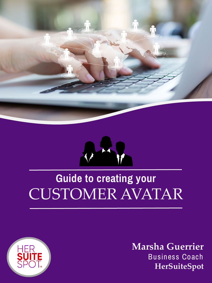



# **Guide to creating your** CUSTOMER AVATAR



**Marsha Guerrier** Business Coach **HerSuiteSpot**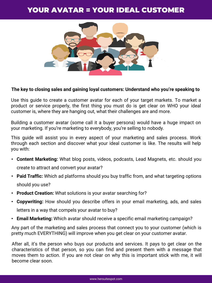# YOUR AVATAR = YOUR IDEAL CUSTOMER



#### **The key to closing sales and gaining loyal customers: Understand who you're speaking to**

Use this guide to create a customer avatar for each of your target markets. To market a product or service properly, the first thing you must do is get clear on WHO your ideal customer is, where they are hanging out, what their challenges are and more.

Building a customer avatar (some call it a buyer persona) would have a huge impact on your marketing. If you're marketing to everybody, you're selling to nobody.

This guide will assist you in every aspect of your marketing and sales process. Work through each section and discover what your ideal customer is like. The results will help you with:

- **Content Marketing:** What blog posts, videos, podcasts, Lead Magnets, etc. should you create to attract and convert your avatar?
- **Paid Traffic:** Which ad platforms should you buy traffic from, and what targeting options should you use?
- **Product Creation:** What solutions is your avatar searching for?
- **Copywriting:** How should you describe offers in your email marketing, ads, and sales letters in a way that compels your avatar to buy?
- **Email Marketing:** Which avatar should receive a specific email marketing campaign?

Any part of the marketing and sales process that connect you to your customer (which is pretty much EVERYTHING) will improve when you get clear on your customer avatar.

After all, it's the person who buys our products and services. It pays to get clear on the characteristics of that person, so you can find and present them with a message that moves them to action. If you are not clear on why this is important stick with me, it will become clear soon.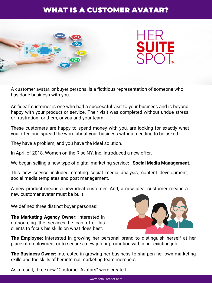# WHAT IS A CUSTOMER AVATAR?



A customer avatar, or buyer persona, is a fictitious representation of someone who has done business with you.

An 'ideal' customer is one who had a successful visit to your business and is beyond happy with your product or service. Their visit was completed without undue stress or frustration for them, or you and your team.

These customers are happy to spend money with you, are looking for exactly what you offer, and spread the word about your business without needing to be asked.

They have a problem, and you have the ideal solution.

In April of 2018, Women on the Rise NY, Inc. introduced a new offer.

We began selling a new type of digital marketing service**: Social Media Management.**

This new service included creating social media analysis, content development, social media templates and post management.

A new product means a new ideal customer. And, a new ideal customer means a new customer avatar must be built.

We defined three distinct buyer personas:

**The Marketing Agency Owner:** interested in outsourcing the services he can offer his clients to focus his skills on what does best.



**The Employee:** interested in growing her personal brand to distinguish herself at her place of employment or to secure a new job or promotion within her existing job.

**The Business Owner:** interested in growing her business to sharpen her own marketing skills and the skills of her internal marketing team members.

As a result, three new "Customer Avatars" were created.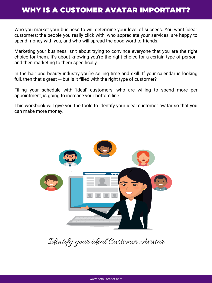### WHY IS A CUSTOMER AVATAR IMPORTANT?

Who you market your business to will determine your level of success. You want 'ideal' customers: the people you really click with, who appreciate your services, are happy to spend money with you, and who will spread the good word to friends.

Marketing your business isn't about trying to convince everyone that you are the right choice for them. It's about knowing you're the right choice for a certain type of person, and then marketing to them specifically.

In the hair and beauty industry you're selling time and skill. If your calendar is looking full, then that's great — but is it filled with the right type of customer?

Filling your schedule with 'ideal' customers, who are willing to spend more per appointment, is going to increase your bottom line..

This workbook will give you the tools to identify your ideal customer avatar so that you can make more money.



Identify your ideal Customer Avatar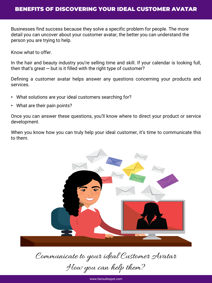Businesses find success because they solve a specific problem for people. The more detail you can uncover about your customer avatar, the better you can understand the person you are trying to help.

Know what to offer.

In the hair and beauty industry you're selling time and skill. If your calendar is looking full, then that's great  $-$  but is it filled with the right type of customer?

Defining a customer avatar helps answer any questions concerning your products and services.

- What solutions are your ideal customers searching for?
- What are their pain points?

Once you can answer these questions, you'll know where to direct your product or service development.

When you know how you can truly help your ideal customer, it's time to communicate this to them.



Communicate to your ideal Customer Avatar

How you can help them?

www.hersuitespot.com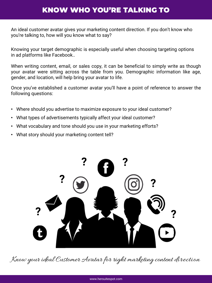# KNOW WHO YOU'RE TALKING TO

An ideal customer avatar gives your marketing content direction. If you don't know who you're talking to, how will you know what to say?

Knowing your target demographic is especially useful when choosing targeting options in ad platforms like Facebook..

When writing content, email, or sales copy, it can be beneficial to simply write as though your avatar were sitting across the table from you. Demographic information like age, gender, and location, will help bring your avatar to life.

Once you've established a customer avatar you'll have a point of reference to answer the following questions:

- Where should you advertise to maximize exposure to your ideal customer?
- What types of advertisements typically affect your ideal customer?
- What vocabulary and tone should you use in your marketing efforts?
- What story should your marketing content tell?



Know your ideal Customer Avatar for right marketing content direction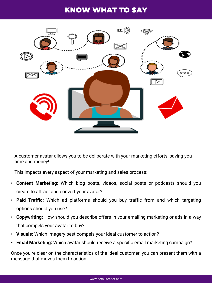# KNOW WHAT TO SAY



A customer avatar allows you to be deliberate with your marketing efforts, saving you time and money!

This impacts every aspect of your marketing and sales process:

- **Content Marketing:** Which blog posts, videos, social posts or podcasts should you create to attract and convert your avatar?
- **Paid Traffic:** Which ad platforms should you buy traffic from and which targeting options should you use?
- **Copywriting:** How should you describe offers in your emailing marketing or ads in a way that compels your avatar to buy?
- **Visuals:** Which imagery best compels your ideal customer to action?
- **Email Marketing:** Which avatar should receive a specific email marketing campaign?

Once you're clear on the characteristics of the ideal customer, you can present them with a message that moves them to action.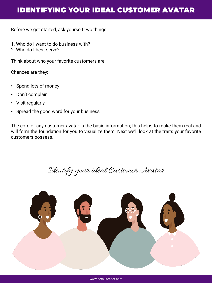# IDENTIFYING YOUR IDEAL CUSTOMER AVATAR

Before we get started, ask yourself two things:

- 1. Who do I want to do business with?
- 2. Who do I best serve?

Think about who your favorite customers are.

Chances are they:

- Spend lots of money
- Don't complain
- Visit regularly
- Spread the good word for your business

The core of any customer avatar is the basic information; this helps to make them real and will form the foundation for you to visualize them. Next we'll look at the traits your favorite customers possess.

Identify your ideal Customer Avatar



www.hersuitespot.com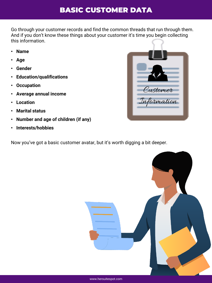# BASIC CUSTOMER DATA

Go through your customer records and find the common threads that run through them. And if you don't know these things about your customer it's time you begin collecting this information.

- **Name**
- **Age**
- **Gender**
- **Education/qualifications**
- **Occupation**
- **Average annual income**
- **Location**
- **Marital status**
- **Number and age of children (if any)**
- **Interests/hobbies**

Now you've got a basic customer avatar, but it's worth digging a bit deeper.



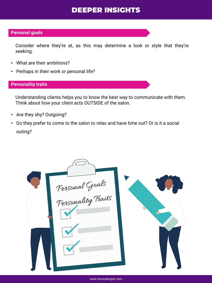# DEEPER INSIGHTS

#### **Personal goals**

Consider where they're at, as this may determine a look or style that they're seeking.

- What are their ambitions?
- Perhaps in their work or personal life?

#### **Personality traits**

Understanding clients helps you to know the best way to communicate with them. Think about how your client acts OUTSIDE of the salon.

- Are they shy? Outgoing?
- Do they prefer to come to the salon to relax and have time out? Or is it a social outing?



www.hersuitespot.com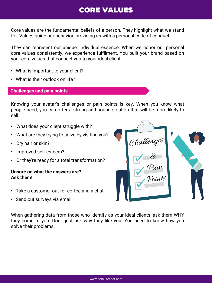# CORE VALUES

Core values are the fundamental beliefs of a person. They highlight what we stand for. Values guide our behavior, providing us with a personal code of conduct.

They can represent our unique, individual essence. When we honor our personal core values consistently, we experience fulfilment. You built your brand based on your core values that connect you to your ideal client.

- What is important to your client?
- What is their outlook on life?

#### **Challenges and pain points**

Knowing your avatar's challenges or pain points is key. When you know what people need, you can offer a strong and sound solution that will be more likely to sell.

- What does your client struggle with?
- What are they trying to solve by visiting you?
- Dry hair or skin?
- Improved self-esteem?
- Or they're ready for a total transformation?

#### **Unsure on what the answers are? Ask them!**

- Take a customer out for coffee and a chat
- Send out surveys via email



When gathering data from those who identify as your ideal clients, ask them WHY they come to you. Don't just ask why they like you. You need to know how you solve their problems.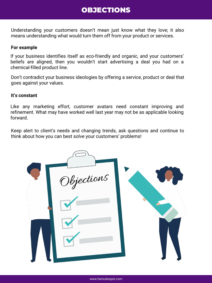### OBJECTIONS

Understanding your customers doesn't mean just know what they love; it also means understanding what would turn them off from your product or services.

#### **For example**

If your business identifies itself as eco-friendly and organic, and your customers' beliefs are aligned, then you wouldn't start advertising a deal you had on a chemical-filled product line.

Don't contradict your business ideologies by offering a service, product or deal that goes against your values.

#### **It's constant**

Like any marketing effort, customer avatars need constant improving and refinement. What may have worked well last year may not be as applicable looking forward.

Keep alert to client's needs and changing trends, ask questions and continue to think about how you can best solve your customers' problems!

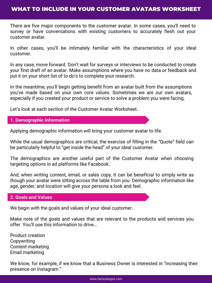There are five major components to the customer avatar. In some cases, you'll need to survey or have conversations with existing customers to accurately flesh out your customer avatar.

In other cases, you'll be intimately familiar with the characteristics of your ideal customer.

In any case, move forward. Don't wait for surveys or interviews to be conducted to create your first draft of an avatar. Make assumptions where you have no data or feedback and put it on your short list of to-do's to complete your research.

In the meantime, you'll begin getting benefit from an avatar built from the assumptions you've made based on your own core values. Sometimes we are our own avatars, especially if you created your product or service to solve a problem you were facing.

Let's look at each section of the Customer Avatar Worksheet.

#### **1. Demographic Information**

Applying demographic information will bring your customer avatar to life.

While the usual demographics are critical, the exercise of filling in the "Quote" field can be particularly helpful to "get inside the head" of your ideal customer.

The demographics are another useful part of the Customer Avatar when choosing targeting options in ad platforms like Facebook.

And, when writing content, email, or sales copy, it can be beneficial to simply write as though your avatar were sitting across the table from you. Demographic information like age, gender, and location will give your persona a look and feel.

#### **2. Goals and Values**

We begin with the goals and values of your ideal customer.

Make note of the goals and values that are relevant to the products and services you offer. You'll use this information to drive…

Product creation Copywriting Content marketing Email marketing

We know, for example, if we know that a Business Owner is interested in "increasing their presence on Instagram."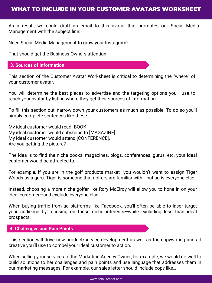### WHAT TO INCLUDE IN YOUR CUSTOMER AVATARS WORKSHEET

As a result, we could draft an email to this avatar that promotes our Social Media Management with the subject line:

Need Social Media Management to grow your Instagram?

That should get the Business Owners attention.

#### **3. Sources of Information**

This section of the Customer Avatar Worksheet is critical to determining the "where" of your customer avatar.

You will determine the best places to advertise and the targeting options you'll use to reach your avatar by listing where they get their sources of information.

To fill this section out, narrow down your customers as much as possible. To do so you'll simply complete sentences like these…

My ideal customer would read [BOOK]. My ideal customer would subscribe to [MAGAZINE]. My ideal customer would attend [CONFERENCE]. Are you getting the picture?

The idea is to find the niche books, magazines, blogs, conferences, gurus, etc. your ideal customer would be attracted to.

For example, if you are in the golf products market—you wouldn't want to assign Tiger Woods as a guru. Tiger is someone that golfers are familiar with… but so is everyone else.

Instead, choosing a more niche golfer like Rory McElroy will allow you to hone in on your ideal customer—and exclude everyone else.

When buying traffic from ad platforms like Facebook, you'll often be able to laser target your audience by focusing on these niche interests—while excluding less than ideal prospects.

#### **4. Challenges and Pain Points**

This section will drive new product/service development as well as the copywriting and ad creative you'll use to compel your ideal customer to action.

When selling your services to the Marketing Agency Owner, for example, we would do well to build solutions to her challenges and pain points and use language that addresses them in our marketing messages. For example, our sales letter should include copy like…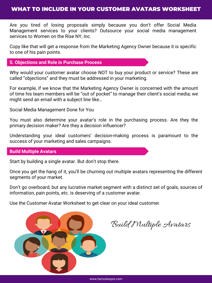### WHAT TO INCLUDE IN YOUR CUSTOMER AVATARS WORKSHEET

Are you tired of losing proposals simply because you don't offer Social Media Management services to your clients? Outsource your social media management services to Women on the Rise NY, Inc.

Copy like that will get a response from the Marketing Agency Owner because it is specific to one of his pain points.

#### **5. Objections and Role in Purchase Process**

Why would your customer avatar choose NOT to buy your product or service? These are called "objections" and they must be addressed in your marketing.

For example, if we know that the Marketing Agency Owner is concerned with the amount of time his team members will be "out of pocket" to manage their client's social media; we might send an email with a subject line like…

Social Media Management Done for You

You must also determine your avatar's role in the purchasing process. Are they the primary decision maker? Are they a decision influencer?

Understanding your ideal customers' decision-making process is paramount to the success of your marketing and sales campaigns.

#### **Build Multiple Avatars**

Start by building a single avatar. But don't stop there.

Once you get the hang of it, you'll be churning out multiple avatars representing the different segments of your market.

Don't go overboard, but any lucrative market segment with a distinct set of goals, sources of information, pain points, etc. is deserving of a customer avatar.

Use the Customer Avatar Worksheet to get clear on your ideal customer.



Build Multiple Avatars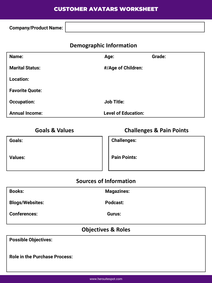### CUSTOMER AVATARS WORKSHEET

**Company/Product Name:**

### **Demographic Information**

| Name:                  | Age:                       | Grade: |
|------------------------|----------------------------|--------|
| <b>Marital Status:</b> | #/Age of Children:         |        |
| <b>Location:</b>       |                            |        |
| <b>Favorite Quote:</b> |                            |        |
| <b>Occupation:</b>     | <b>Job Title:</b>          |        |
| <b>Annual Income:</b>  | <b>Level of Education:</b> |        |

**Goals & Values Challenges & Pain Points**

**Goals:**

**Challenges:**

**Values:**

**Pain Points:**

### **Sources of Information**

| <b>Books:</b>          | <b>Magazines:</b> |
|------------------------|-------------------|
| <b>Blogs/Websites:</b> | Podcast:          |
| <b>Conferences:</b>    | Gurus:            |
|                        |                   |

### **Objectives & Roles**

**Possible Objectives:**

**Role in the Purchase Process:**